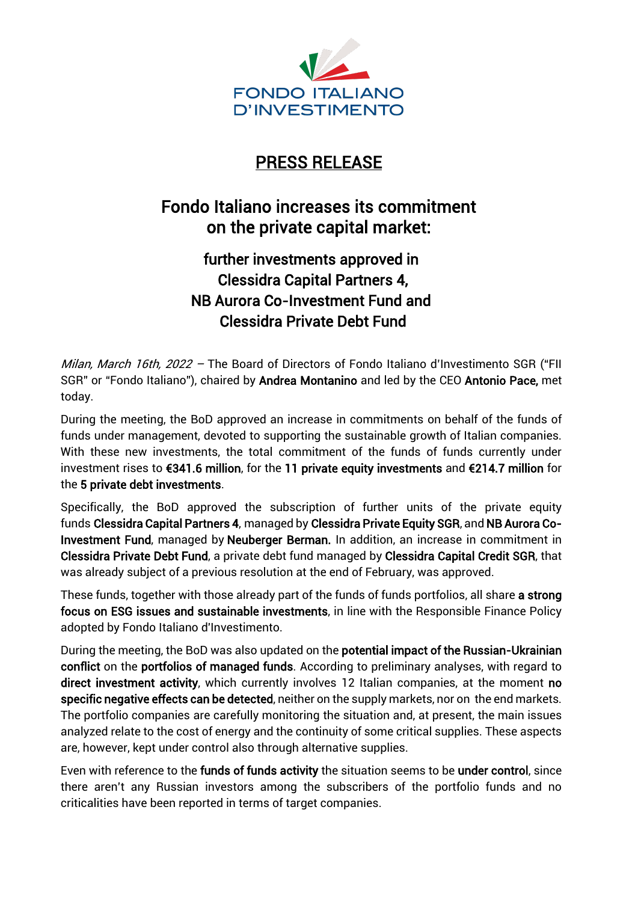

# PRESS RELEASE

# Fondo Italiano increases its commitment on the private capital market:

## further investments approved in Clessidra Capital Partners 4, NB Aurora Co-Investment Fund and Clessidra Private Debt Fund

Milan, March 16th, 2022 - The Board of Directors of Fondo Italiano d'Investimento SGR ("FII SGR" or "Fondo Italiano"), chaired by Andrea Montanino and led by the CEO Antonio Pace, met today.

During the meeting, the BoD approved an increase in commitments on behalf of the funds of funds under management, devoted to supporting the sustainable growth of Italian companies. With these new investments, the total commitment of the funds of funds currently under investment rises to €341.6 million, for the 11 private equity investments and €214.7 million for the 5 private debt investments.

Specifically, the BoD approved the subscription of further units of the private equity funds Clessidra Capital Partners 4, managed by Clessidra Private Equity SGR, and NB Aurora Co-Investment Fund, managed by Neuberger Berman. In addition, an increase in commitment in Clessidra Private Debt Fund, a private debt fund managed by Clessidra Capital Credit SGR, that was already subject of a previous resolution at the end of February, was approved.

These funds, together with those already part of the funds of funds portfolios, all share a strong focus on ESG issues and sustainable investments, in line with the Responsible Finance Policy adopted by Fondo Italiano d'Investimento.

During the meeting, the BoD was also updated on the potential impact of the Russian-Ukrainian conflict on the portfolios of managed funds. According to preliminary analyses, with regard to direct investment activity, which currently involves 12 Italian companies, at the moment no specific negative effects can be detected, neither on the supply markets, nor on the end markets. The portfolio companies are carefully monitoring the situation and, at present, the main issues analyzed relate to the cost of energy and the continuity of some critical supplies. These aspects are, however, kept under control also through alternative supplies.

Even with reference to the funds of funds activity the situation seems to be under control, since there aren't any Russian investors among the subscribers of the portfolio funds and no criticalities have been reported in terms of target companies.